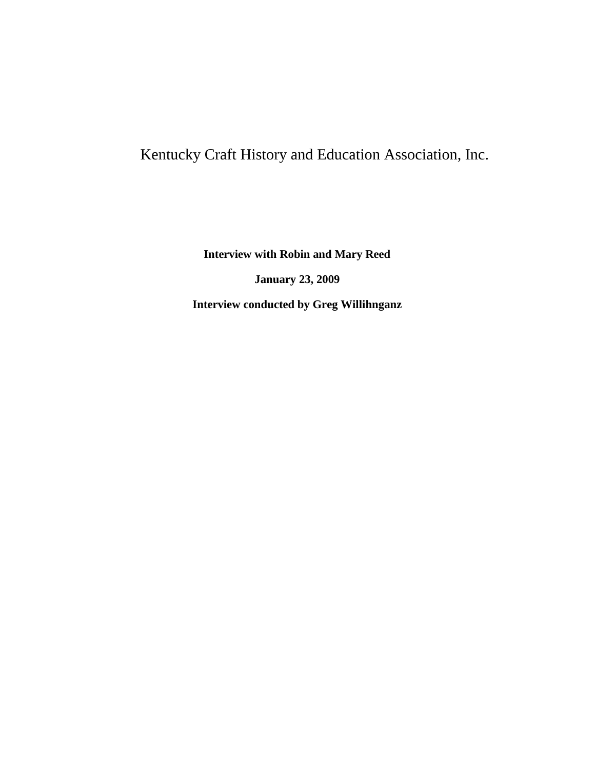## Kentucky Craft History and Education Association, Inc.

**Interview with Robin and Mary Reed**

**January 23, 2009**

**Interview conducted by Greg Willihnganz**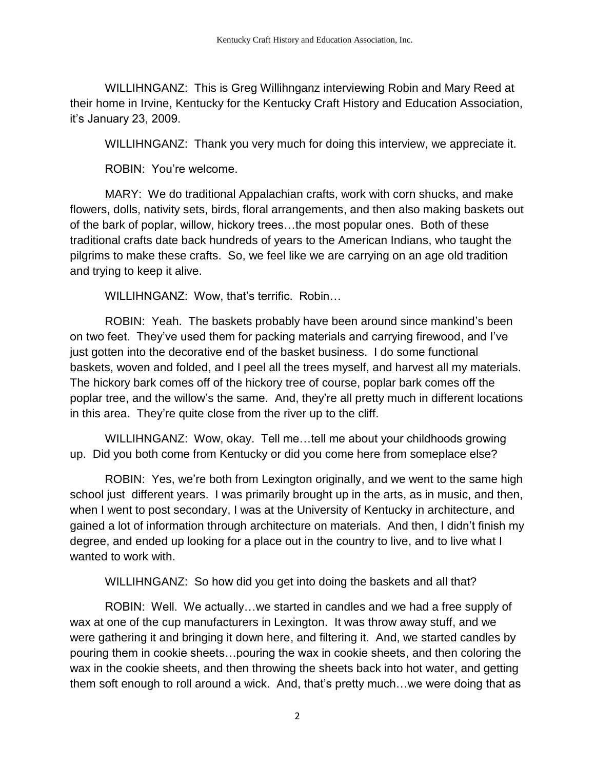WILLIHNGANZ: This is Greg Willihnganz interviewing Robin and Mary Reed at their home in Irvine, Kentucky for the Kentucky Craft History and Education Association, it's January 23, 2009.

WILLIHNGANZ: Thank you very much for doing this interview, we appreciate it.

ROBIN: You're welcome.

MARY: We do traditional Appalachian crafts, work with corn shucks, and make flowers, dolls, nativity sets, birds, floral arrangements, and then also making baskets out of the bark of poplar, willow, hickory trees…the most popular ones. Both of these traditional crafts date back hundreds of years to the American Indians, who taught the pilgrims to make these crafts. So, we feel like we are carrying on an age old tradition and trying to keep it alive.

WILLIHNGANZ: Wow, that's terrific. Robin…

ROBIN: Yeah. The baskets probably have been around since mankind's been on two feet. They've used them for packing materials and carrying firewood, and I've just gotten into the decorative end of the basket business. I do some functional baskets, woven and folded, and I peel all the trees myself, and harvest all my materials. The hickory bark comes off of the hickory tree of course, poplar bark comes off the poplar tree, and the willow's the same. And, they're all pretty much in different locations in this area. They're quite close from the river up to the cliff.

WILLIHNGANZ: Wow, okay. Tell me…tell me about your childhoods growing up. Did you both come from Kentucky or did you come here from someplace else?

ROBIN: Yes, we're both from Lexington originally, and we went to the same high school just different years. I was primarily brought up in the arts, as in music, and then, when I went to post secondary, I was at the University of Kentucky in architecture, and gained a lot of information through architecture on materials. And then, I didn't finish my degree, and ended up looking for a place out in the country to live, and to live what I wanted to work with.

WILLIHNGANZ: So how did you get into doing the baskets and all that?

ROBIN: Well. We actually…we started in candles and we had a free supply of wax at one of the cup manufacturers in Lexington. It was throw away stuff, and we were gathering it and bringing it down here, and filtering it. And, we started candles by pouring them in cookie sheets…pouring the wax in cookie sheets, and then coloring the wax in the cookie sheets, and then throwing the sheets back into hot water, and getting them soft enough to roll around a wick. And, that's pretty much…we were doing that as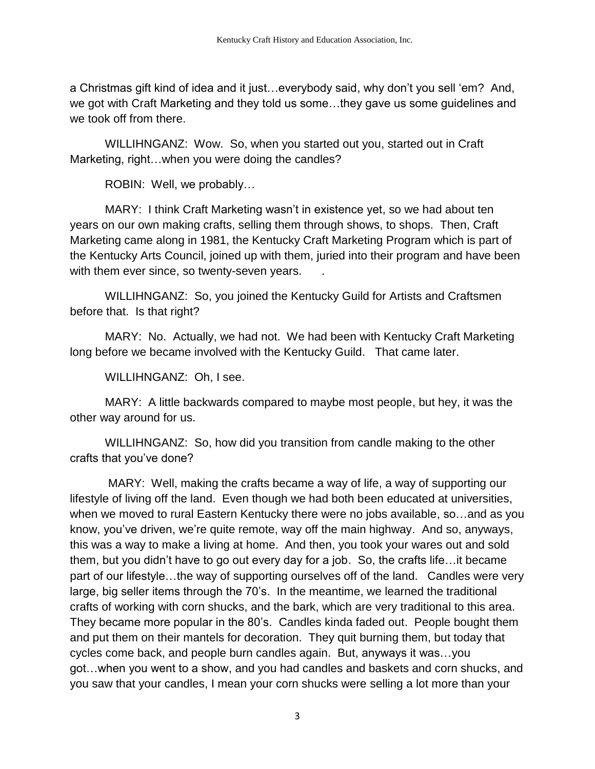a Christmas gift kind of idea and it just…everybody said, why don't you sell 'em? And, we got with Craft Marketing and they told us some…they gave us some guidelines and we took off from there.

WILLIHNGANZ: Wow. So, when you started out you, started out in Craft Marketing, right…when you were doing the candles?

ROBIN: Well, we probably…

MARY: I think Craft Marketing wasn't in existence yet, so we had about ten years on our own making crafts, selling them through shows, to shops. Then, Craft Marketing came along in 1981, the Kentucky Craft Marketing Program which is part of the Kentucky Arts Council, joined up with them, juried into their program and have been with them ever since, so twenty-seven years.

WILLIHNGANZ: So, you joined the Kentucky Guild for Artists and Craftsmen before that. Is that right?

MARY: No. Actually, we had not. We had been with Kentucky Craft Marketing long before we became involved with the Kentucky Guild. That came later.

WILLIHNGANZ: Oh, I see.

MARY: A little backwards compared to maybe most people, but hey, it was the other way around for us.

WILLIHNGANZ: So, how did you transition from candle making to the other crafts that you've done?

MARY: Well, making the crafts became a way of life, a way of supporting our lifestyle of living off the land. Even though we had both been educated at universities, when we moved to rural Eastern Kentucky there were no jobs available, so…and as you know, you've driven, we're quite remote, way off the main highway. And so, anyways, this was a way to make a living at home. And then, you took your wares out and sold them, but you didn't have to go out every day for a job. So, the crafts life…it became part of our lifestyle…the way of supporting ourselves off of the land. Candles were very large, big seller items through the 70's. In the meantime, we learned the traditional crafts of working with corn shucks, and the bark, which are very traditional to this area. They became more popular in the 80's. Candles kinda faded out. People bought them and put them on their mantels for decoration. They quit burning them, but today that cycles come back, and people burn candles again. But, anyways it was…you got…when you went to a show, and you had candles and baskets and corn shucks, and you saw that your candles, I mean your corn shucks were selling a lot more than your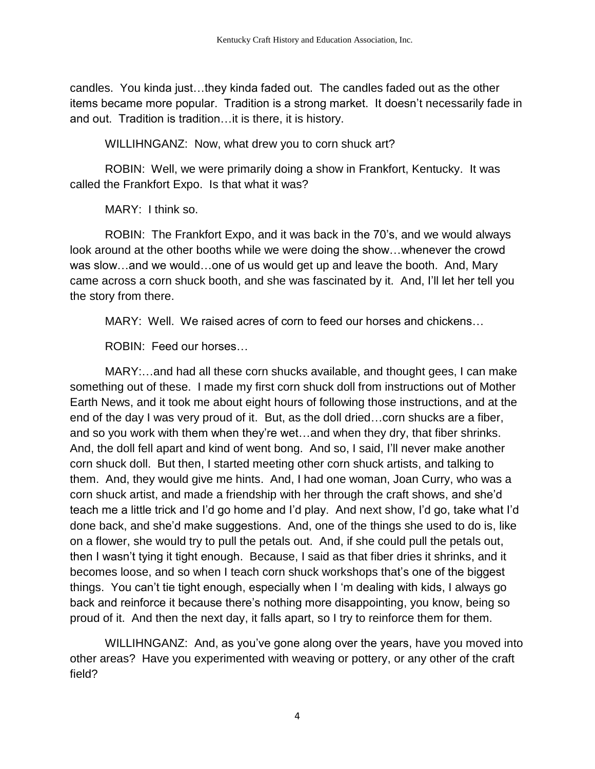candles. You kinda just…they kinda faded out. The candles faded out as the other items became more popular. Tradition is a strong market. It doesn't necessarily fade in and out. Tradition is tradition…it is there, it is history.

WILLIHNGANZ: Now, what drew you to corn shuck art?

ROBIN: Well, we were primarily doing a show in Frankfort, Kentucky. It was called the Frankfort Expo. Is that what it was?

MARY: I think so.

ROBIN: The Frankfort Expo, and it was back in the 70's, and we would always look around at the other booths while we were doing the show…whenever the crowd was slow…and we would…one of us would get up and leave the booth. And, Mary came across a corn shuck booth, and she was fascinated by it. And, I'll let her tell you the story from there.

MARY: Well. We raised acres of corn to feed our horses and chickens…

ROBIN: Feed our horses…

MARY:…and had all these corn shucks available, and thought gees, I can make something out of these. I made my first corn shuck doll from instructions out of Mother Earth News, and it took me about eight hours of following those instructions, and at the end of the day I was very proud of it. But, as the doll dried…corn shucks are a fiber, and so you work with them when they're wet…and when they dry, that fiber shrinks. And, the doll fell apart and kind of went bong. And so, I said, I'll never make another corn shuck doll. But then, I started meeting other corn shuck artists, and talking to them. And, they would give me hints. And, I had one woman, Joan Curry, who was a corn shuck artist, and made a friendship with her through the craft shows, and she'd teach me a little trick and I'd go home and I'd play. And next show, I'd go, take what I'd done back, and she'd make suggestions. And, one of the things she used to do is, like on a flower, she would try to pull the petals out. And, if she could pull the petals out, then I wasn't tying it tight enough. Because, I said as that fiber dries it shrinks, and it becomes loose, and so when I teach corn shuck workshops that's one of the biggest things. You can't tie tight enough, especially when I 'm dealing with kids, I always go back and reinforce it because there's nothing more disappointing, you know, being so proud of it. And then the next day, it falls apart, so I try to reinforce them for them.

WILLIHNGANZ: And, as you've gone along over the years, have you moved into other areas? Have you experimented with weaving or pottery, or any other of the craft field?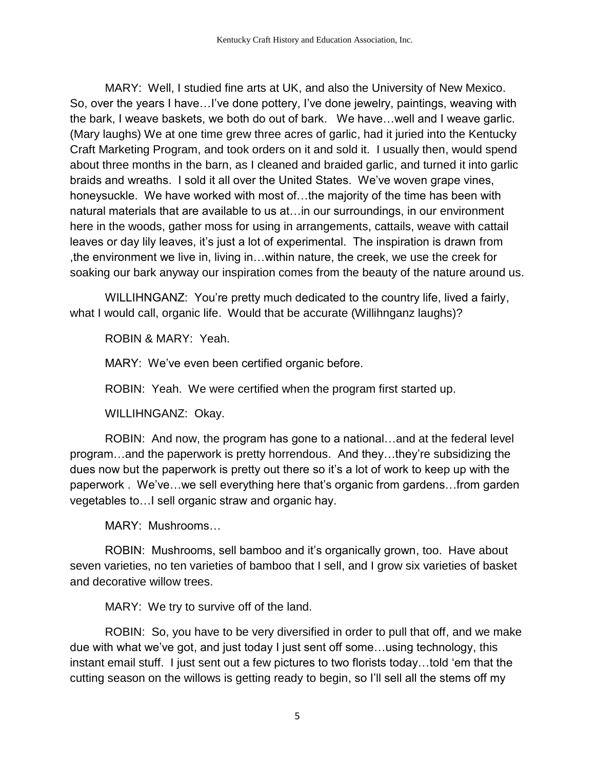MARY: Well, I studied fine arts at UK, and also the University of New Mexico. So, over the years I have…I've done pottery, I've done jewelry, paintings, weaving with the bark, I weave baskets, we both do out of bark. We have…well and I weave garlic. (Mary laughs) We at one time grew three acres of garlic, had it juried into the Kentucky Craft Marketing Program, and took orders on it and sold it. I usually then, would spend about three months in the barn, as I cleaned and braided garlic, and turned it into garlic braids and wreaths. I sold it all over the United States. We've woven grape vines, honeysuckle. We have worked with most of…the majority of the time has been with natural materials that are available to us at…in our surroundings, in our environment here in the woods, gather moss for using in arrangements, cattails, weave with cattail leaves or day lily leaves, it's just a lot of experimental. The inspiration is drawn from ,the environment we live in, living in…within nature, the creek, we use the creek for soaking our bark anyway our inspiration comes from the beauty of the nature around us.

WILLIHNGANZ: You're pretty much dedicated to the country life, lived a fairly, what I would call, organic life. Would that be accurate (Willihnganz laughs)?

ROBIN & MARY: Yeah.

MARY: We've even been certified organic before.

ROBIN: Yeah. We were certified when the program first started up.

WILLIHNGANZ: Okay.

ROBIN: And now, the program has gone to a national…and at the federal level program…and the paperwork is pretty horrendous. And they…they're subsidizing the dues now but the paperwork is pretty out there so it's a lot of work to keep up with the paperwork . We've…we sell everything here that's organic from gardens…from garden vegetables to…I sell organic straw and organic hay.

MARY: Mushrooms…

ROBIN: Mushrooms, sell bamboo and it's organically grown, too. Have about seven varieties, no ten varieties of bamboo that I sell, and I grow six varieties of basket and decorative willow trees.

MARY: We try to survive off of the land.

ROBIN: So, you have to be very diversified in order to pull that off, and we make due with what we've got, and just today I just sent off some…using technology, this instant email stuff. I just sent out a few pictures to two florists today…told 'em that the cutting season on the willows is getting ready to begin, so I'll sell all the stems off my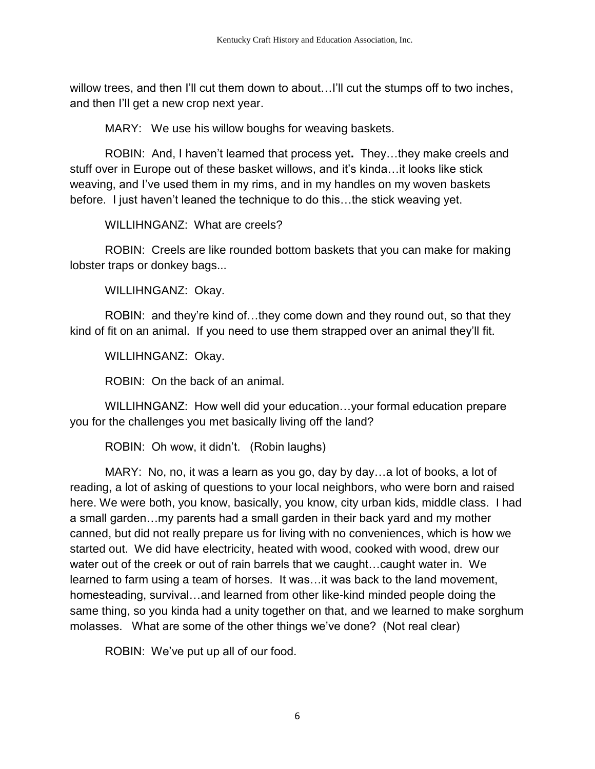willow trees, and then I'll cut them down to about...I'll cut the stumps off to two inches, and then I'll get a new crop next year.

MARY: We use his willow boughs for weaving baskets.

ROBIN: And, I haven't learned that process yet**.** They…they make creels and stuff over in Europe out of these basket willows, and it's kinda…it looks like stick weaving, and I've used them in my rims, and in my handles on my woven baskets before. I just haven't leaned the technique to do this…the stick weaving yet.

WILLIHNGANZ: What are creels?

ROBIN: Creels are like rounded bottom baskets that you can make for making lobster traps or donkey bags...

WILLIHNGANZ: Okay.

ROBIN: and they're kind of…they come down and they round out, so that they kind of fit on an animal. If you need to use them strapped over an animal they'll fit.

WILLIHNGANZ: Okay.

ROBIN: On the back of an animal.

WILLIHNGANZ: How well did your education…your formal education prepare you for the challenges you met basically living off the land?

ROBIN: Oh wow, it didn't. (Robin laughs)

MARY: No, no, it was a learn as you go, day by day…a lot of books, a lot of reading, a lot of asking of questions to your local neighbors, who were born and raised here. We were both, you know, basically, you know, city urban kids, middle class. I had a small garden…my parents had a small garden in their back yard and my mother canned, but did not really prepare us for living with no conveniences, which is how we started out. We did have electricity, heated with wood, cooked with wood, drew our water out of the creek or out of rain barrels that we caught…caught water in. We learned to farm using a team of horses. It was…it was back to the land movement, homesteading, survival…and learned from other like-kind minded people doing the same thing, so you kinda had a unity together on that, and we learned to make sorghum molasses. What are some of the other things we've done? (Not real clear)

ROBIN: We've put up all of our food.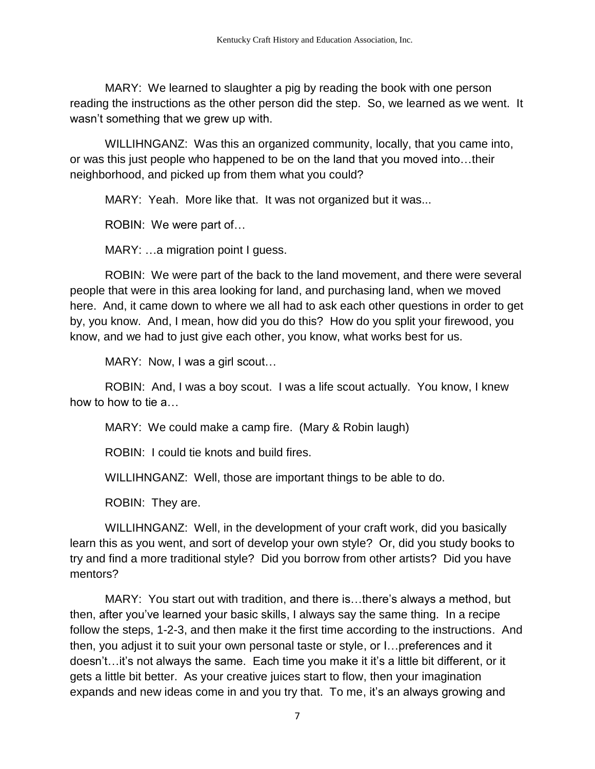MARY: We learned to slaughter a pig by reading the book with one person reading the instructions as the other person did the step. So, we learned as we went. It wasn't something that we grew up with.

WILLIHNGANZ: Was this an organized community, locally, that you came into, or was this just people who happened to be on the land that you moved into…their neighborhood, and picked up from them what you could?

MARY: Yeah. More like that. It was not organized but it was...

ROBIN: We were part of…

MARY: …a migration point I guess.

ROBIN: We were part of the back to the land movement, and there were several people that were in this area looking for land, and purchasing land, when we moved here. And, it came down to where we all had to ask each other questions in order to get by, you know. And, I mean, how did you do this? How do you split your firewood, you know, and we had to just give each other, you know, what works best for us.

MARY: Now, I was a girl scout...

ROBIN: And, I was a boy scout. I was a life scout actually. You know, I knew how to how to tie a…

MARY: We could make a camp fire. (Mary & Robin laugh)

ROBIN: I could tie knots and build fires.

WILLIHNGANZ: Well, those are important things to be able to do.

ROBIN: They are.

WILLIHNGANZ: Well, in the development of your craft work, did you basically learn this as you went, and sort of develop your own style? Or, did you study books to try and find a more traditional style? Did you borrow from other artists? Did you have mentors?

MARY: You start out with tradition, and there is…there's always a method, but then, after you've learned your basic skills, I always say the same thing. In a recipe follow the steps, 1-2-3, and then make it the first time according to the instructions. And then, you adjust it to suit your own personal taste or style, or I…preferences and it doesn't…it's not always the same. Each time you make it it's a little bit different, or it gets a little bit better. As your creative juices start to flow, then your imagination expands and new ideas come in and you try that. To me, it's an always growing and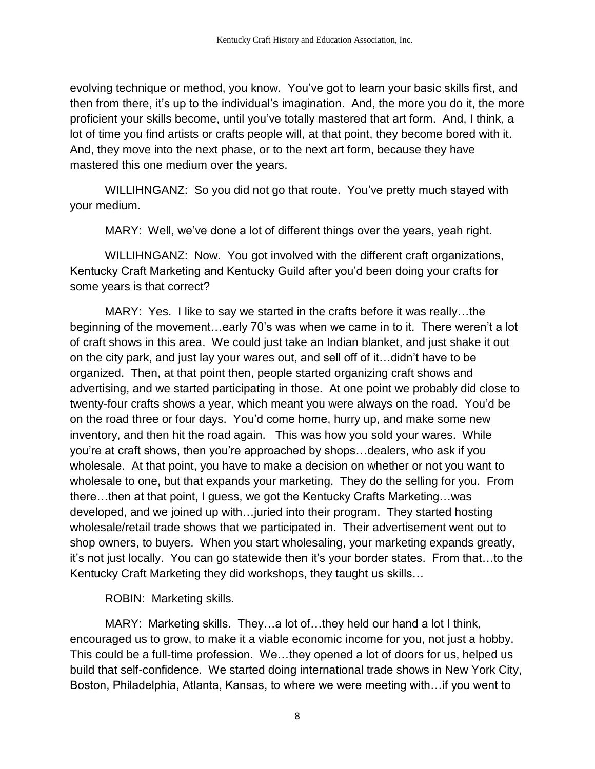evolving technique or method, you know. You've got to learn your basic skills first, and then from there, it's up to the individual's imagination. And, the more you do it, the more proficient your skills become, until you've totally mastered that art form. And, I think, a lot of time you find artists or crafts people will, at that point, they become bored with it. And, they move into the next phase, or to the next art form, because they have mastered this one medium over the years.

WILLIHNGANZ: So you did not go that route. You've pretty much stayed with your medium.

MARY: Well, we've done a lot of different things over the years, yeah right.

WILLIHNGANZ: Now. You got involved with the different craft organizations, Kentucky Craft Marketing and Kentucky Guild after you'd been doing your crafts for some years is that correct?

MARY: Yes. I like to say we started in the crafts before it was really…the beginning of the movement…early 70's was when we came in to it. There weren't a lot of craft shows in this area. We could just take an Indian blanket, and just shake it out on the city park, and just lay your wares out, and sell off of it…didn't have to be organized. Then, at that point then, people started organizing craft shows and advertising, and we started participating in those. At one point we probably did close to twenty-four crafts shows a year, which meant you were always on the road. You'd be on the road three or four days. You'd come home, hurry up, and make some new inventory, and then hit the road again. This was how you sold your wares. While you're at craft shows, then you're approached by shops…dealers, who ask if you wholesale. At that point, you have to make a decision on whether or not you want to wholesale to one, but that expands your marketing. They do the selling for you. From there…then at that point, I guess, we got the Kentucky Crafts Marketing…was developed, and we joined up with…juried into their program. They started hosting wholesale/retail trade shows that we participated in. Their advertisement went out to shop owners, to buyers. When you start wholesaling, your marketing expands greatly, it's not just locally. You can go statewide then it's your border states. From that…to the Kentucky Craft Marketing they did workshops, they taught us skills…

ROBIN: Marketing skills.

MARY: Marketing skills. They…a lot of…they held our hand a lot I think, encouraged us to grow, to make it a viable economic income for you, not just a hobby. This could be a full-time profession. We…they opened a lot of doors for us, helped us build that self-confidence. We started doing international trade shows in New York City, Boston, Philadelphia, Atlanta, Kansas, to where we were meeting with…if you went to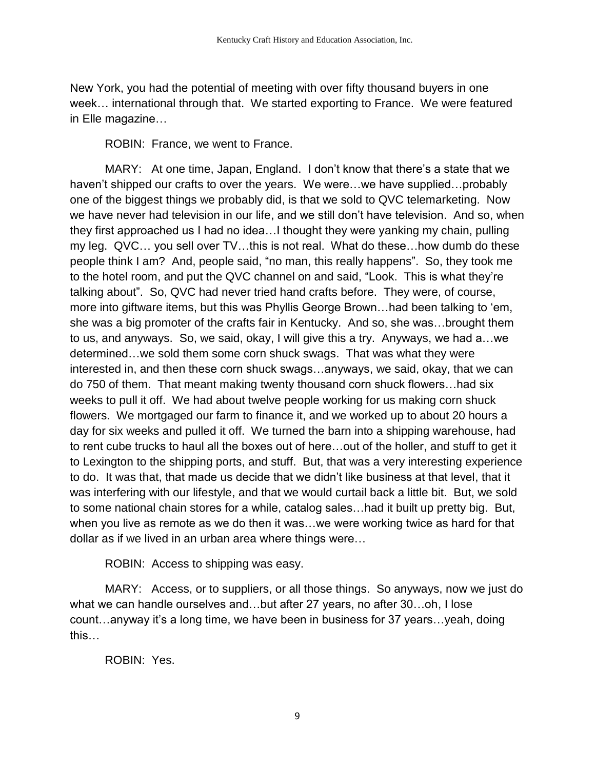New York, you had the potential of meeting with over fifty thousand buyers in one week… international through that. We started exporting to France. We were featured in Elle magazine…

ROBIN: France, we went to France.

MARY: At one time, Japan, England. I don't know that there's a state that we haven't shipped our crafts to over the years. We were…we have supplied…probably one of the biggest things we probably did, is that we sold to QVC telemarketing. Now we have never had television in our life, and we still don't have television. And so, when they first approached us I had no idea…I thought they were yanking my chain, pulling my leg. QVC… you sell over TV…this is not real. What do these…how dumb do these people think I am? And, people said, "no man, this really happens". So, they took me to the hotel room, and put the QVC channel on and said, "Look. This is what they're talking about". So, QVC had never tried hand crafts before. They were, of course, more into giftware items, but this was Phyllis George Brown…had been talking to 'em, she was a big promoter of the crafts fair in Kentucky. And so, she was…brought them to us, and anyways. So, we said, okay, I will give this a try. Anyways, we had a…we determined…we sold them some corn shuck swags. That was what they were interested in, and then these corn shuck swags…anyways, we said, okay, that we can do 750 of them. That meant making twenty thousand corn shuck flowers…had six weeks to pull it off. We had about twelve people working for us making corn shuck flowers. We mortgaged our farm to finance it, and we worked up to about 20 hours a day for six weeks and pulled it off. We turned the barn into a shipping warehouse, had to rent cube trucks to haul all the boxes out of here…out of the holler, and stuff to get it to Lexington to the shipping ports, and stuff. But, that was a very interesting experience to do. It was that, that made us decide that we didn't like business at that level, that it was interfering with our lifestyle, and that we would curtail back a little bit. But, we sold to some national chain stores for a while, catalog sales…had it built up pretty big. But, when you live as remote as we do then it was…we were working twice as hard for that dollar as if we lived in an urban area where things were…

ROBIN: Access to shipping was easy.

MARY: Access, or to suppliers, or all those things. So anyways, now we just do what we can handle ourselves and...but after 27 years, no after 30...oh, I lose count…anyway it's a long time, we have been in business for 37 years…yeah, doing this…

ROBIN: Yes.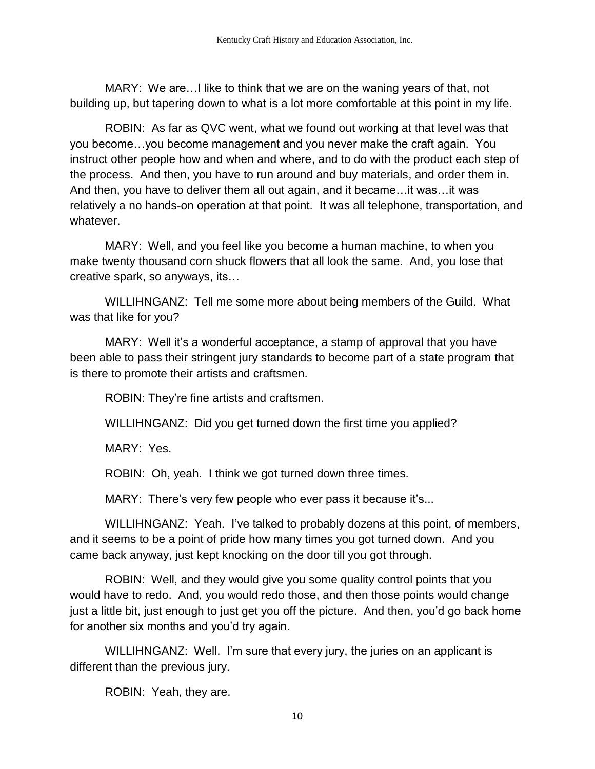MARY: We are…I like to think that we are on the waning years of that, not building up, but tapering down to what is a lot more comfortable at this point in my life.

ROBIN: As far as QVC went, what we found out working at that level was that you become…you become management and you never make the craft again. You instruct other people how and when and where, and to do with the product each step of the process. And then, you have to run around and buy materials, and order them in. And then, you have to deliver them all out again, and it became…it was…it was relatively a no hands-on operation at that point. It was all telephone, transportation, and whatever.

MARY: Well, and you feel like you become a human machine, to when you make twenty thousand corn shuck flowers that all look the same. And, you lose that creative spark, so anyways, its…

WILLIHNGANZ: Tell me some more about being members of the Guild. What was that like for you?

MARY: Well it's a wonderful acceptance, a stamp of approval that you have been able to pass their stringent jury standards to become part of a state program that is there to promote their artists and craftsmen.

ROBIN: They're fine artists and craftsmen.

WILLIHNGANZ: Did you get turned down the first time you applied?

MARY: Yes.

ROBIN: Oh, yeah. I think we got turned down three times.

MARY: There's very few people who ever pass it because it's...

WILLIHNGANZ: Yeah. I've talked to probably dozens at this point, of members, and it seems to be a point of pride how many times you got turned down. And you came back anyway, just kept knocking on the door till you got through.

ROBIN: Well, and they would give you some quality control points that you would have to redo. And, you would redo those, and then those points would change just a little bit, just enough to just get you off the picture. And then, you'd go back home for another six months and you'd try again.

WILLIHNGANZ: Well. I'm sure that every jury, the juries on an applicant is different than the previous jury.

ROBIN: Yeah, they are.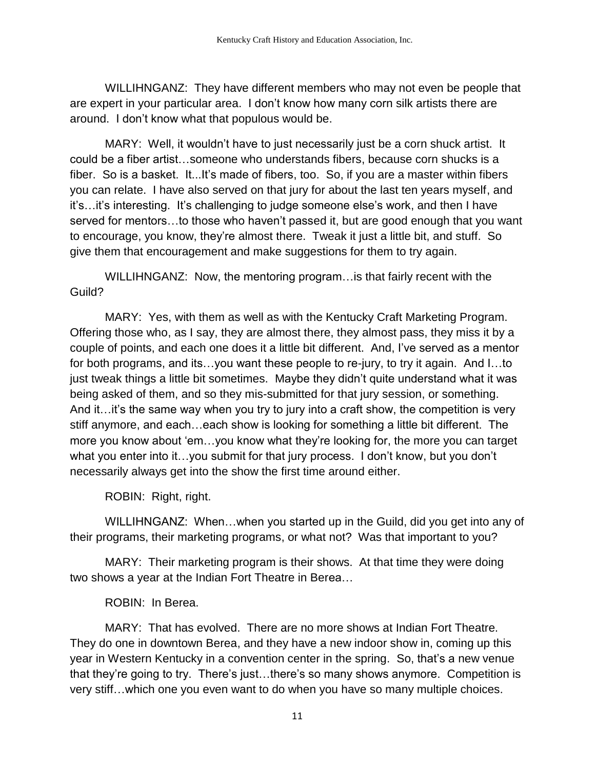WILLIHNGANZ: They have different members who may not even be people that are expert in your particular area. I don't know how many corn silk artists there are around. I don't know what that populous would be.

MARY: Well, it wouldn't have to just necessarily just be a corn shuck artist. It could be a fiber artist…someone who understands fibers, because corn shucks is a fiber. So is a basket. It...It's made of fibers, too. So, if you are a master within fibers you can relate. I have also served on that jury for about the last ten years myself, and it's…it's interesting. It's challenging to judge someone else's work, and then I have served for mentors…to those who haven't passed it, but are good enough that you want to encourage, you know, they're almost there. Tweak it just a little bit, and stuff. So give them that encouragement and make suggestions for them to try again.

WILLIHNGANZ: Now, the mentoring program…is that fairly recent with the Guild?

MARY: Yes, with them as well as with the Kentucky Craft Marketing Program. Offering those who, as I say, they are almost there, they almost pass, they miss it by a couple of points, and each one does it a little bit different. And, I've served as a mentor for both programs, and its…you want these people to re-jury, to try it again. And I…to just tweak things a little bit sometimes. Maybe they didn't quite understand what it was being asked of them, and so they mis-submitted for that jury session, or something. And it…it's the same way when you try to jury into a craft show, the competition is very stiff anymore, and each…each show is looking for something a little bit different. The more you know about 'em…you know what they're looking for, the more you can target what you enter into it…you submit for that jury process. I don't know, but you don't necessarily always get into the show the first time around either.

ROBIN: Right, right.

WILLIHNGANZ: When…when you started up in the Guild, did you get into any of their programs, their marketing programs, or what not? Was that important to you?

MARY: Their marketing program is their shows. At that time they were doing two shows a year at the Indian Fort Theatre in Berea…

## ROBIN: In Berea.

MARY: That has evolved. There are no more shows at Indian Fort Theatre. They do one in downtown Berea, and they have a new indoor show in, coming up this year in Western Kentucky in a convention center in the spring. So, that's a new venue that they're going to try. There's just…there's so many shows anymore. Competition is very stiff…which one you even want to do when you have so many multiple choices.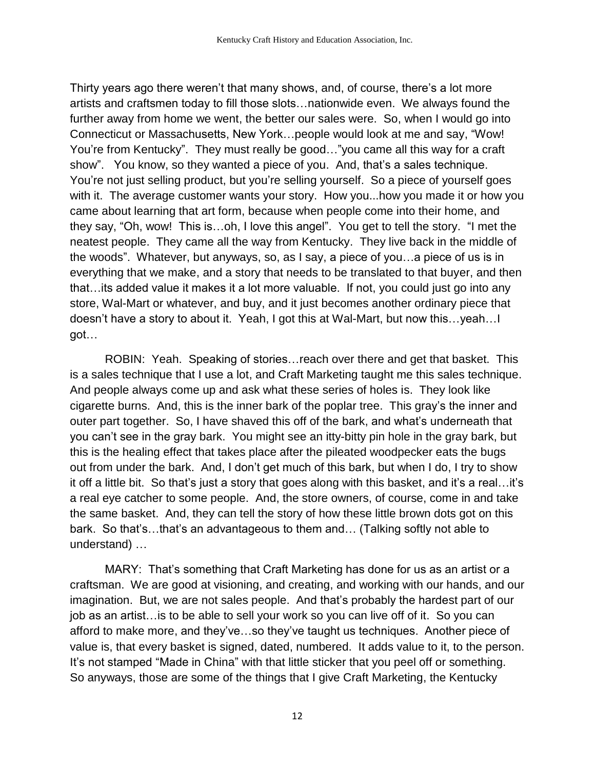Thirty years ago there weren't that many shows, and, of course, there's a lot more artists and craftsmen today to fill those slots…nationwide even. We always found the further away from home we went, the better our sales were. So, when I would go into Connecticut or Massachusetts, New York…people would look at me and say, "Wow! You're from Kentucky". They must really be good…"you came all this way for a craft show". You know, so they wanted a piece of you. And, that's a sales technique. You're not just selling product, but you're selling yourself. So a piece of yourself goes with it. The average customer wants your story. How you...how you made it or how you came about learning that art form, because when people come into their home, and they say, "Oh, wow! This is…oh, I love this angel". You get to tell the story. "I met the neatest people. They came all the way from Kentucky. They live back in the middle of the woods". Whatever, but anyways, so, as I say, a piece of you…a piece of us is in everything that we make, and a story that needs to be translated to that buyer, and then that…its added value it makes it a lot more valuable. If not, you could just go into any store, Wal-Mart or whatever, and buy, and it just becomes another ordinary piece that doesn't have a story to about it. Yeah, I got this at Wal-Mart, but now this…yeah…I got…

ROBIN: Yeah. Speaking of stories…reach over there and get that basket. This is a sales technique that I use a lot, and Craft Marketing taught me this sales technique. And people always come up and ask what these series of holes is. They look like cigarette burns. And, this is the inner bark of the poplar tree. This gray's the inner and outer part together. So, I have shaved this off of the bark, and what's underneath that you can't see in the gray bark. You might see an itty-bitty pin hole in the gray bark, but this is the healing effect that takes place after the pileated woodpecker eats the bugs out from under the bark. And, I don't get much of this bark, but when I do, I try to show it off a little bit. So that's just a story that goes along with this basket, and it's a real…it's a real eye catcher to some people. And, the store owners, of course, come in and take the same basket. And, they can tell the story of how these little brown dots got on this bark. So that's…that's an advantageous to them and… (Talking softly not able to understand) …

MARY: That's something that Craft Marketing has done for us as an artist or a craftsman. We are good at visioning, and creating, and working with our hands, and our imagination. But, we are not sales people. And that's probably the hardest part of our job as an artist…is to be able to sell your work so you can live off of it. So you can afford to make more, and they've…so they've taught us techniques. Another piece of value is, that every basket is signed, dated, numbered. It adds value to it, to the person. It's not stamped "Made in China" with that little sticker that you peel off or something. So anyways, those are some of the things that I give Craft Marketing, the Kentucky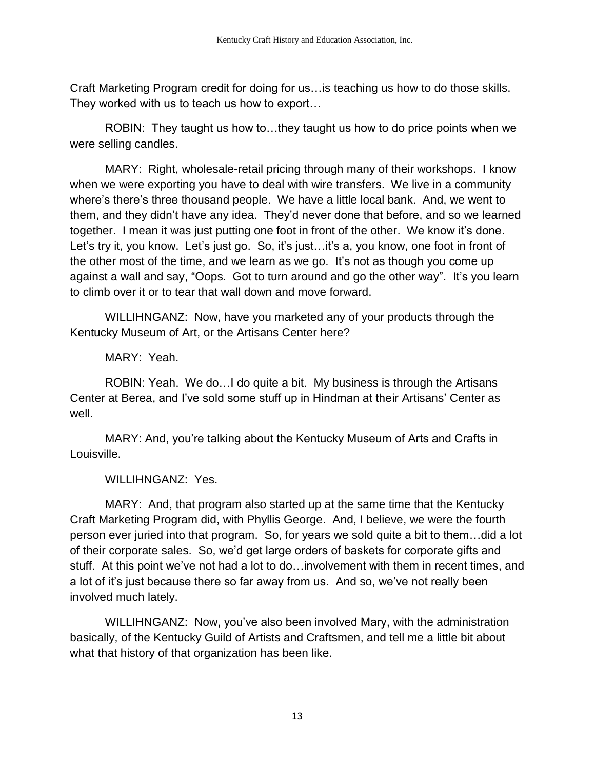Craft Marketing Program credit for doing for us…is teaching us how to do those skills. They worked with us to teach us how to export…

ROBIN: They taught us how to…they taught us how to do price points when we were selling candles.

MARY: Right, wholesale-retail pricing through many of their workshops. I know when we were exporting you have to deal with wire transfers. We live in a community where's there's three thousand people. We have a little local bank. And, we went to them, and they didn't have any idea. They'd never done that before, and so we learned together. I mean it was just putting one foot in front of the other. We know it's done. Let's try it, you know. Let's just go. So, it's just...it's a, you know, one foot in front of the other most of the time, and we learn as we go. It's not as though you come up against a wall and say, "Oops. Got to turn around and go the other way". It's you learn to climb over it or to tear that wall down and move forward.

WILLIHNGANZ: Now, have you marketed any of your products through the Kentucky Museum of Art, or the Artisans Center here?

MARY: Yeah.

ROBIN: Yeah. We do…I do quite a bit. My business is through the Artisans Center at Berea, and I've sold some stuff up in Hindman at their Artisans' Center as well.

MARY: And, you're talking about the Kentucky Museum of Arts and Crafts in Louisville.

WILLIHNGANZ: Yes.

MARY: And, that program also started up at the same time that the Kentucky Craft Marketing Program did, with Phyllis George. And, I believe, we were the fourth person ever juried into that program. So, for years we sold quite a bit to them…did a lot of their corporate sales. So, we'd get large orders of baskets for corporate gifts and stuff. At this point we've not had a lot to do…involvement with them in recent times, and a lot of it's just because there so far away from us. And so, we've not really been involved much lately.

WILLIHNGANZ: Now, you've also been involved Mary, with the administration basically, of the Kentucky Guild of Artists and Craftsmen, and tell me a little bit about what that history of that organization has been like.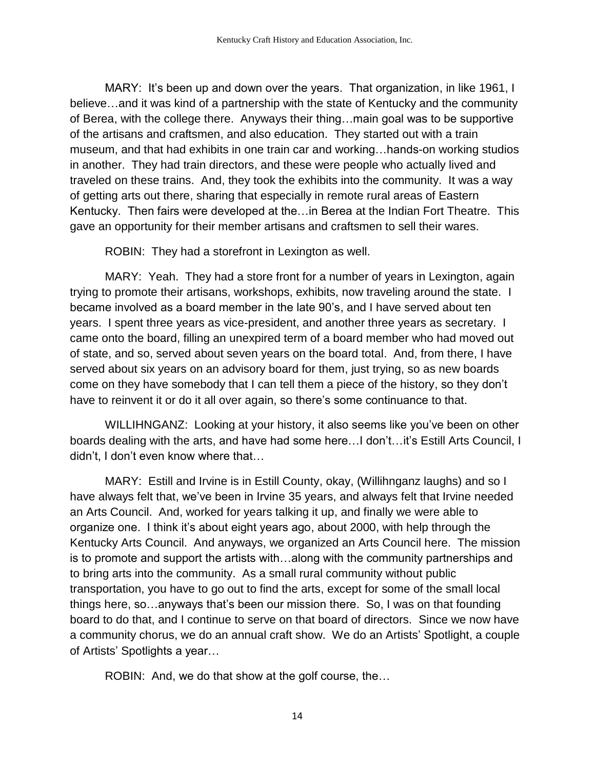MARY: It's been up and down over the years. That organization, in like 1961, I believe…and it was kind of a partnership with the state of Kentucky and the community of Berea, with the college there. Anyways their thing…main goal was to be supportive of the artisans and craftsmen, and also education. They started out with a train museum, and that had exhibits in one train car and working…hands-on working studios in another. They had train directors, and these were people who actually lived and traveled on these trains. And, they took the exhibits into the community. It was a way of getting arts out there, sharing that especially in remote rural areas of Eastern Kentucky. Then fairs were developed at the…in Berea at the Indian Fort Theatre. This gave an opportunity for their member artisans and craftsmen to sell their wares.

ROBIN: They had a storefront in Lexington as well.

MARY: Yeah. They had a store front for a number of years in Lexington, again trying to promote their artisans, workshops, exhibits, now traveling around the state. I became involved as a board member in the late 90's, and I have served about ten years. I spent three years as vice-president, and another three years as secretary. I came onto the board, filling an unexpired term of a board member who had moved out of state, and so, served about seven years on the board total. And, from there, I have served about six years on an advisory board for them, just trying, so as new boards come on they have somebody that I can tell them a piece of the history, so they don't have to reinvent it or do it all over again, so there's some continuance to that.

WILLIHNGANZ: Looking at your history, it also seems like you've been on other boards dealing with the arts, and have had some here...I don't...it's Estill Arts Council, I didn't, I don't even know where that…

MARY: Estill and Irvine is in Estill County, okay, (Willihnganz laughs) and so I have always felt that, we've been in Irvine 35 years, and always felt that Irvine needed an Arts Council. And, worked for years talking it up, and finally we were able to organize one. I think it's about eight years ago, about 2000, with help through the Kentucky Arts Council. And anyways, we organized an Arts Council here. The mission is to promote and support the artists with…along with the community partnerships and to bring arts into the community. As a small rural community without public transportation, you have to go out to find the arts, except for some of the small local things here, so…anyways that's been our mission there. So, I was on that founding board to do that, and I continue to serve on that board of directors. Since we now have a community chorus, we do an annual craft show. We do an Artists' Spotlight, a couple of Artists' Spotlights a year…

ROBIN: And, we do that show at the golf course, the…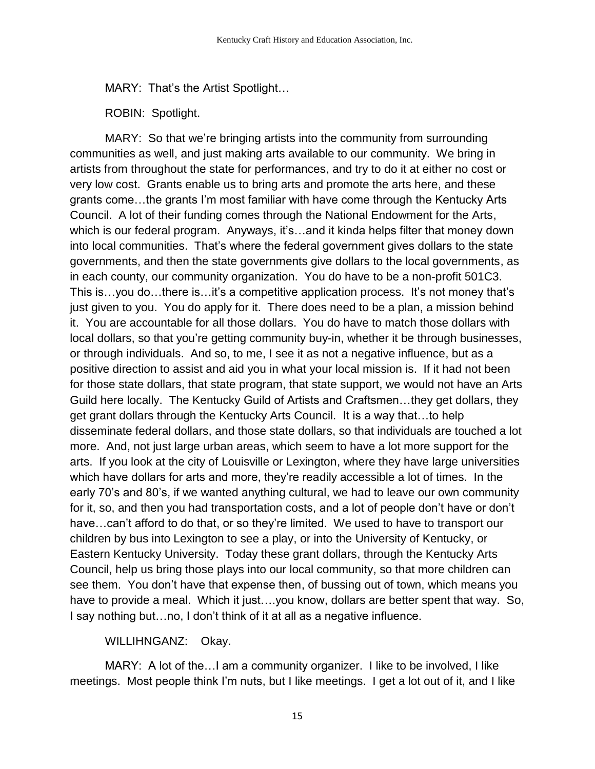MARY: That's the Artist Spotlight…

ROBIN: Spotlight.

MARY: So that we're bringing artists into the community from surrounding communities as well, and just making arts available to our community. We bring in artists from throughout the state for performances, and try to do it at either no cost or very low cost. Grants enable us to bring arts and promote the arts here, and these grants come…the grants I'm most familiar with have come through the Kentucky Arts Council. A lot of their funding comes through the National Endowment for the Arts, which is our federal program. Anyways, it's...and it kinda helps filter that money down into local communities. That's where the federal government gives dollars to the state governments, and then the state governments give dollars to the local governments, as in each county, our community organization. You do have to be a non-profit 501C3. This is...you do...there is...it's a competitive application process. It's not money that's just given to you. You do apply for it. There does need to be a plan, a mission behind it. You are accountable for all those dollars. You do have to match those dollars with local dollars, so that you're getting community buy-in, whether it be through businesses, or through individuals. And so, to me, I see it as not a negative influence, but as a positive direction to assist and aid you in what your local mission is. If it had not been for those state dollars, that state program, that state support, we would not have an Arts Guild here locally. The Kentucky Guild of Artists and Craftsmen…they get dollars, they get grant dollars through the Kentucky Arts Council. It is a way that…to help disseminate federal dollars, and those state dollars, so that individuals are touched a lot more. And, not just large urban areas, which seem to have a lot more support for the arts. If you look at the city of Louisville or Lexington, where they have large universities which have dollars for arts and more, they're readily accessible a lot of times. In the early 70's and 80's, if we wanted anything cultural, we had to leave our own community for it, so, and then you had transportation costs, and a lot of people don't have or don't have...can't afford to do that, or so they're limited. We used to have to transport our children by bus into Lexington to see a play, or into the University of Kentucky, or Eastern Kentucky University. Today these grant dollars, through the Kentucky Arts Council, help us bring those plays into our local community, so that more children can see them. You don't have that expense then, of bussing out of town, which means you have to provide a meal. Which it just....you know, dollars are better spent that way. So, I say nothing but…no, I don't think of it at all as a negative influence.

## WILLIHNGANZ: Okay.

MARY: A lot of the…I am a community organizer. I like to be involved, I like meetings. Most people think I'm nuts, but I like meetings. I get a lot out of it, and I like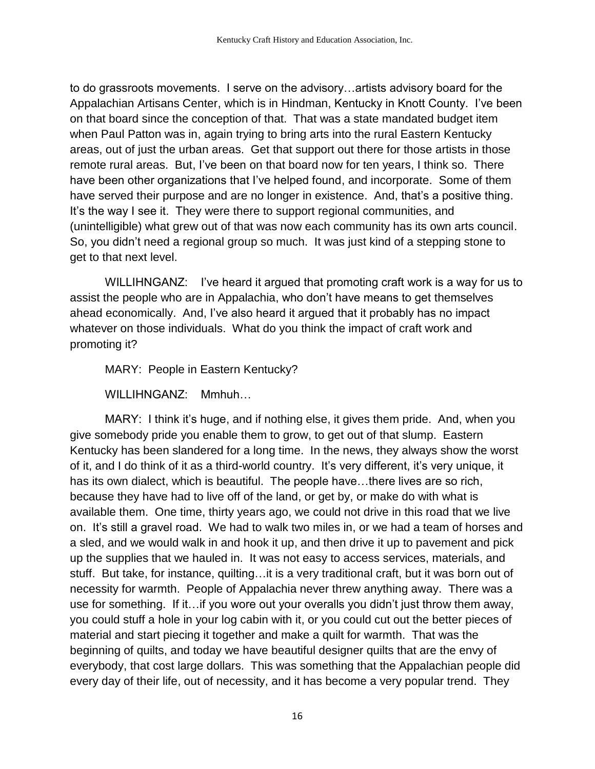to do grassroots movements. I serve on the advisory…artists advisory board for the Appalachian Artisans Center, which is in Hindman, Kentucky in Knott County. I've been on that board since the conception of that. That was a state mandated budget item when Paul Patton was in, again trying to bring arts into the rural Eastern Kentucky areas, out of just the urban areas. Get that support out there for those artists in those remote rural areas. But, I've been on that board now for ten years, I think so. There have been other organizations that I've helped found, and incorporate. Some of them have served their purpose and are no longer in existence. And, that's a positive thing. It's the way I see it. They were there to support regional communities, and (unintelligible) what grew out of that was now each community has its own arts council. So, you didn't need a regional group so much. It was just kind of a stepping stone to get to that next level.

WILLIHNGANZ: I've heard it argued that promoting craft work is a way for us to assist the people who are in Appalachia, who don't have means to get themselves ahead economically. And, I've also heard it argued that it probably has no impact whatever on those individuals. What do you think the impact of craft work and promoting it?

MARY: People in Eastern Kentucky?

WILLIHNGANZ: Mmhuh…

MARY: I think it's huge, and if nothing else, it gives them pride. And, when you give somebody pride you enable them to grow, to get out of that slump. Eastern Kentucky has been slandered for a long time. In the news, they always show the worst of it, and I do think of it as a third-world country. It's very different, it's very unique, it has its own dialect, which is beautiful. The people have…there lives are so rich, because they have had to live off of the land, or get by, or make do with what is available them. One time, thirty years ago, we could not drive in this road that we live on. It's still a gravel road. We had to walk two miles in, or we had a team of horses and a sled, and we would walk in and hook it up, and then drive it up to pavement and pick up the supplies that we hauled in. It was not easy to access services, materials, and stuff. But take, for instance, quilting…it is a very traditional craft, but it was born out of necessity for warmth. People of Appalachia never threw anything away. There was a use for something. If it…if you wore out your overalls you didn't just throw them away, you could stuff a hole in your log cabin with it, or you could cut out the better pieces of material and start piecing it together and make a quilt for warmth. That was the beginning of quilts, and today we have beautiful designer quilts that are the envy of everybody, that cost large dollars. This was something that the Appalachian people did every day of their life, out of necessity, and it has become a very popular trend. They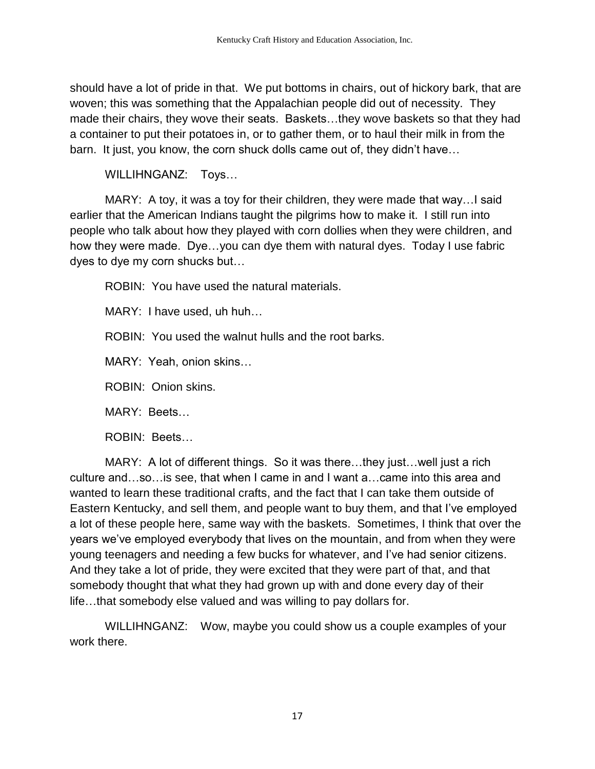should have a lot of pride in that. We put bottoms in chairs, out of hickory bark, that are woven; this was something that the Appalachian people did out of necessity. They made their chairs, they wove their seats. Baskets…they wove baskets so that they had a container to put their potatoes in, or to gather them, or to haul their milk in from the barn. It just, you know, the corn shuck dolls came out of, they didn't have…

WILLIHNGANZ: Toys…

MARY: A toy, it was a toy for their children, they were made that way…I said earlier that the American Indians taught the pilgrims how to make it. I still run into people who talk about how they played with corn dollies when they were children, and how they were made. Dye…you can dye them with natural dyes. Today I use fabric dyes to dye my corn shucks but…

ROBIN: You have used the natural materials.

MARY: I have used, uh huh…

ROBIN: You used the walnut hulls and the root barks.

MARY: Yeah, onion skins…

ROBIN: Onion skins.

MARY: Beets…

ROBIN: Beets…

MARY: A lot of different things. So it was there…they just…well just a rich culture and…so…is see, that when I came in and I want a…came into this area and wanted to learn these traditional crafts, and the fact that I can take them outside of Eastern Kentucky, and sell them, and people want to buy them, and that I've employed a lot of these people here, same way with the baskets. Sometimes, I think that over the years we've employed everybody that lives on the mountain, and from when they were young teenagers and needing a few bucks for whatever, and I've had senior citizens. And they take a lot of pride, they were excited that they were part of that, and that somebody thought that what they had grown up with and done every day of their life…that somebody else valued and was willing to pay dollars for.

WILLIHNGANZ: Wow, maybe you could show us a couple examples of your work there.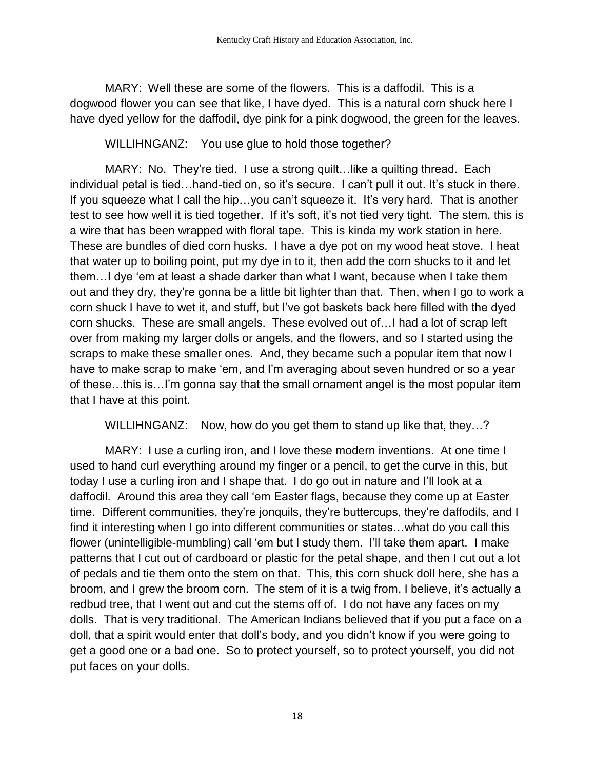MARY: Well these are some of the flowers. This is a daffodil. This is a dogwood flower you can see that like, I have dyed. This is a natural corn shuck here I have dyed yellow for the daffodil, dye pink for a pink dogwood, the green for the leaves.

WILLIHNGANZ: You use glue to hold those together?

MARY: No. They're tied. I use a strong quilt... like a quilting thread. Each individual petal is tied…hand-tied on, so it's secure. I can't pull it out. It's stuck in there. If you squeeze what I call the hip…you can't squeeze it. It's very hard. That is another test to see how well it is tied together. If it's soft, it's not tied very tight. The stem, this is a wire that has been wrapped with floral tape. This is kinda my work station in here. These are bundles of died corn husks. I have a dye pot on my wood heat stove. I heat that water up to boiling point, put my dye in to it, then add the corn shucks to it and let them…I dye 'em at least a shade darker than what I want, because when I take them out and they dry, they're gonna be a little bit lighter than that. Then, when I go to work a corn shuck I have to wet it, and stuff, but I've got baskets back here filled with the dyed corn shucks. These are small angels. These evolved out of…I had a lot of scrap left over from making my larger dolls or angels, and the flowers, and so I started using the scraps to make these smaller ones. And, they became such a popular item that now I have to make scrap to make 'em, and I'm averaging about seven hundred or so a year of these…this is…I'm gonna say that the small ornament angel is the most popular item that I have at this point.

WILLIHNGANZ: Now, how do you get them to stand up like that, they...?

MARY: I use a curling iron, and I love these modern inventions. At one time I used to hand curl everything around my finger or a pencil, to get the curve in this, but today I use a curling iron and I shape that. I do go out in nature and I'll look at a daffodil. Around this area they call 'em Easter flags, because they come up at Easter time. Different communities, they're jonquils, they're buttercups, they're daffodils, and I find it interesting when I go into different communities or states…what do you call this flower (unintelligible-mumbling) call 'em but I study them. I'll take them apart. I make patterns that I cut out of cardboard or plastic for the petal shape, and then I cut out a lot of pedals and tie them onto the stem on that. This, this corn shuck doll here, she has a broom, and I grew the broom corn. The stem of it is a twig from, I believe, it's actually a redbud tree, that I went out and cut the stems off of. I do not have any faces on my dolls. That is very traditional. The American Indians believed that if you put a face on a doll, that a spirit would enter that doll's body, and you didn't know if you were going to get a good one or a bad one. So to protect yourself, so to protect yourself, you did not put faces on your dolls.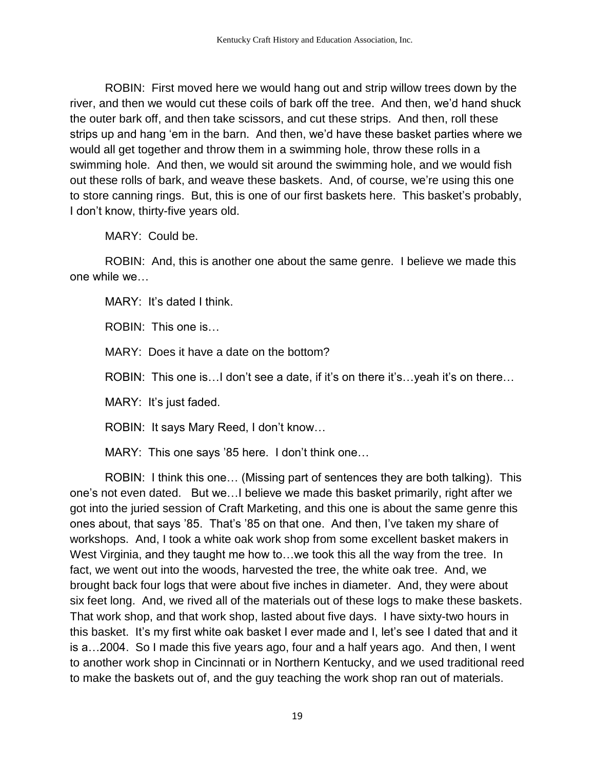ROBIN: First moved here we would hang out and strip willow trees down by the river, and then we would cut these coils of bark off the tree. And then, we'd hand shuck the outer bark off, and then take scissors, and cut these strips. And then, roll these strips up and hang 'em in the barn. And then, we'd have these basket parties where we would all get together and throw them in a swimming hole, throw these rolls in a swimming hole. And then, we would sit around the swimming hole, and we would fish out these rolls of bark, and weave these baskets. And, of course, we're using this one to store canning rings. But, this is one of our first baskets here. This basket's probably, I don't know, thirty-five years old.

MARY: Could be.

ROBIN: And, this is another one about the same genre. I believe we made this one while we…

MARY: It's dated I think.

ROBIN: This one is…

MARY: Does it have a date on the bottom?

ROBIN: This one is…I don't see a date, if it's on there it's…yeah it's on there…

MARY: It's just faded.

ROBIN: It says Mary Reed, I don't know…

MARY: This one says '85 here. I don't think one…

ROBIN: I think this one… (Missing part of sentences they are both talking). This one's not even dated. But we…I believe we made this basket primarily, right after we got into the juried session of Craft Marketing, and this one is about the same genre this ones about, that says '85. That's '85 on that one. And then, I've taken my share of workshops. And, I took a white oak work shop from some excellent basket makers in West Virginia, and they taught me how to...we took this all the way from the tree. In fact, we went out into the woods, harvested the tree, the white oak tree. And, we brought back four logs that were about five inches in diameter. And, they were about six feet long. And, we rived all of the materials out of these logs to make these baskets. That work shop, and that work shop, lasted about five days. I have sixty-two hours in this basket. It's my first white oak basket I ever made and I, let's see I dated that and it is a…2004. So I made this five years ago, four and a half years ago. And then, I went to another work shop in Cincinnati or in Northern Kentucky, and we used traditional reed to make the baskets out of, and the guy teaching the work shop ran out of materials.